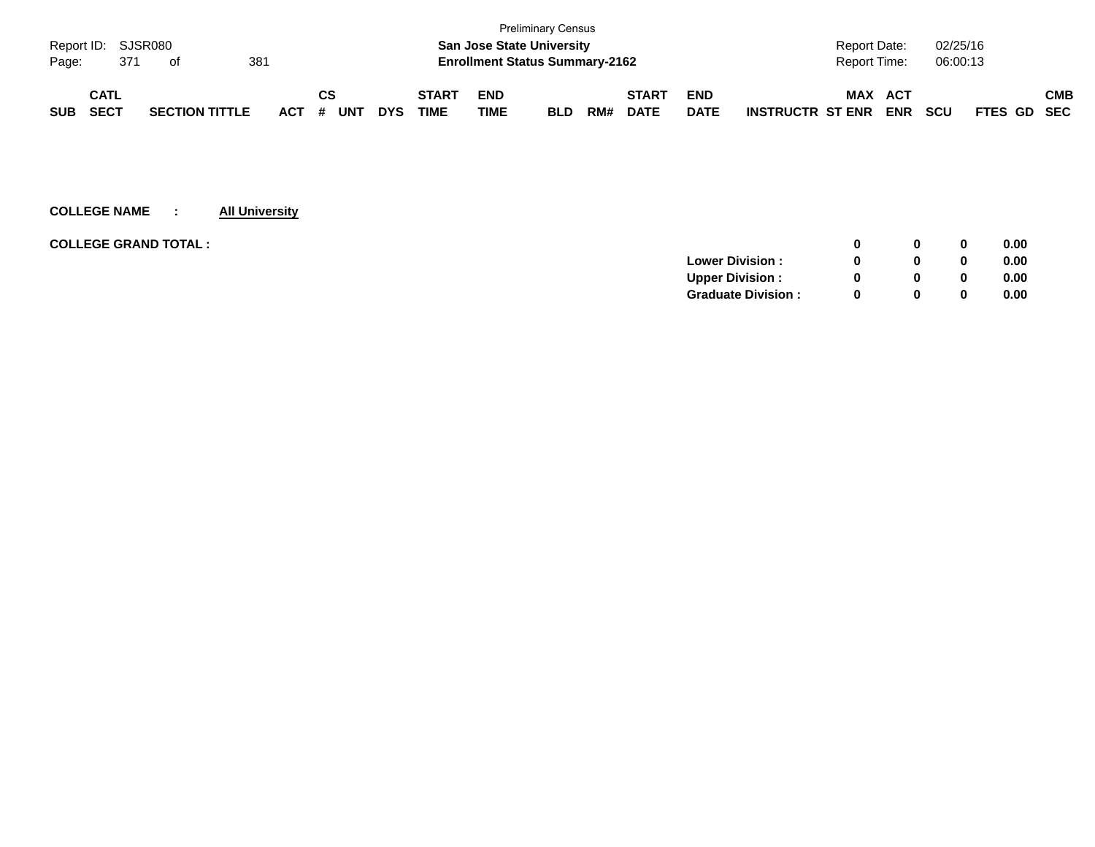|            |                    |                       |     |     |    |            |            |              |                                       | <b>Preliminary Census</b> |     |              |             |                         |                     |            |            |             |     |
|------------|--------------------|-----------------------|-----|-----|----|------------|------------|--------------|---------------------------------------|---------------------------|-----|--------------|-------------|-------------------------|---------------------|------------|------------|-------------|-----|
|            | Report ID: SJSR080 |                       |     |     |    |            |            |              | <b>San Jose State University</b>      |                           |     |              |             |                         | <b>Report Date:</b> |            | 02/25/16   |             |     |
| Page:      | 371                | of                    | 381 |     |    |            |            |              | <b>Enrollment Status Summary-2162</b> |                           |     |              |             |                         | <b>Report Time:</b> |            | 06:00:13   |             |     |
|            | <b>CATL</b>        |                       |     |     | СS |            |            | <b>START</b> | <b>END</b>                            |                           |     | <b>START</b> | <b>END</b>  |                         | <b>MAX</b>          | ACT        |            |             | СМВ |
| <b>SUB</b> | <b>SECT</b>        | <b>SECTION TITTLE</b> |     | ACT | #  | <b>UNT</b> | <b>DYS</b> | TIME         | TIME                                  | <b>BLD</b>                | RM# | <b>DATE</b>  | <b>DATE</b> | <b>INSTRUCTR ST ENR</b> |                     | <b>ENR</b> | <b>SCU</b> | FTES GD SEC |     |

| <b>COLLEGE GRAND TOTAL :</b> |                           | 0            | 0            | 0.00 |
|------------------------------|---------------------------|--------------|--------------|------|
|                              | <b>Lower Division:</b>    | 0            | 0            | 0.00 |
|                              | <b>Upper Division:</b>    | 0            | 0            | 0.00 |
|                              | <b>Graduate Division:</b> | <sup>0</sup> | $\mathbf{0}$ | 0.00 |
|                              |                           |              |              |      |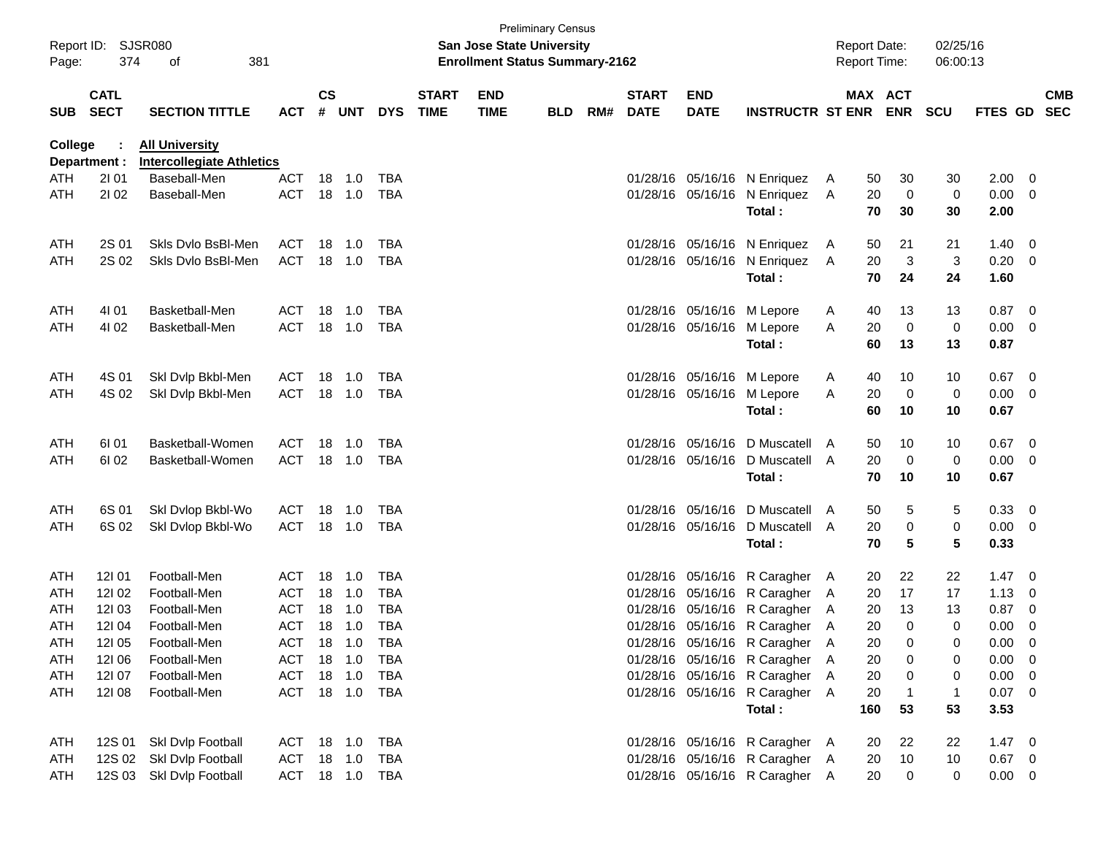| Page:      | Report ID: SJSR080<br>374  | 381<br>of                                                 |                |           |        |                |                             | <b>San Jose State University</b><br><b>Enrollment Status Summary-2162</b> | <b>Preliminary Census</b> |     |                             |                           |                                | <b>Report Date:</b><br><b>Report Time:</b> |     |                       | 02/25/16<br>06:00:13 |             |                          |                          |
|------------|----------------------------|-----------------------------------------------------------|----------------|-----------|--------|----------------|-----------------------------|---------------------------------------------------------------------------|---------------------------|-----|-----------------------------|---------------------------|--------------------------------|--------------------------------------------|-----|-----------------------|----------------------|-------------|--------------------------|--------------------------|
| <b>SUB</b> | <b>CATL</b><br><b>SECT</b> | <b>SECTION TITTLE</b>                                     | <b>ACT</b>     | <b>CS</b> | # UNT  | <b>DYS</b>     | <b>START</b><br><b>TIME</b> | <b>END</b><br><b>TIME</b>                                                 | <b>BLD</b>                | RM# | <b>START</b><br><b>DATE</b> | <b>END</b><br><b>DATE</b> | <b>INSTRUCTR ST ENR</b>        |                                            |     | MAX ACT<br><b>ENR</b> | <b>SCU</b>           | FTES GD     |                          | <b>CMB</b><br><b>SEC</b> |
| College    |                            | <b>All University</b><br><b>Intercollegiate Athletics</b> |                |           |        |                |                             |                                                                           |                           |     |                             |                           |                                |                                            |     |                       |                      |             |                          |                          |
| ATH        | Department :<br>2101       | Baseball-Men                                              | ACT            |           | 18 1.0 | TBA            |                             |                                                                           |                           |     | 01/28/16                    |                           | 05/16/16 N Enriquez            | $\mathsf{A}$                               | 50  | 30                    | 30                   | 2.00        | - 0                      |                          |
| ATH        | 2102                       | Baseball-Men                                              | <b>ACT</b>     |           | 18 1.0 | TBA            |                             |                                                                           |                           |     |                             | 01/28/16 05/16/16         | N Enriquez                     | A                                          | 20  | $\mathbf 0$           | 0                    | 0.00        | - 0                      |                          |
|            |                            |                                                           |                |           |        |                |                             |                                                                           |                           |     |                             |                           | Total:                         |                                            | 70  | 30                    | 30                   | 2.00        |                          |                          |
| ATH        | 2S 01                      | Skls Dvlo BsBI-Men                                        | ACT            | 18        | $-1.0$ | TBA            |                             |                                                                           |                           |     |                             |                           | 01/28/16 05/16/16 N Enriquez   | A                                          | 50  | 21                    | 21                   | 1.40        | - 0                      |                          |
| ATH        | 2S 02                      | Skis Dvio BsBI-Men                                        | <b>ACT</b>     |           | 18 1.0 | TBA            |                             |                                                                           |                           |     |                             | 01/28/16 05/16/16         | N Enriquez                     | A                                          | 20  | $\mathbf{3}$          | 3                    | 0.20        | - 0                      |                          |
|            |                            |                                                           |                |           |        |                |                             |                                                                           |                           |     |                             |                           | Total:                         |                                            | 70  | 24                    | 24                   | 1.60        |                          |                          |
| ATH        | 4101                       | Basketball-Men                                            | ACT            | 18        | 1.0    | TBA            |                             |                                                                           |                           |     |                             |                           | 01/28/16 05/16/16 M Lepore     | A                                          | 40  | 13                    | 13                   | 0.87        | $\overline{\phantom{0}}$ |                          |
| ATH        | 4102                       | Basketball-Men                                            | <b>ACT</b>     |           | 18 1.0 | TBA            |                             |                                                                           |                           |     |                             | 01/28/16 05/16/16         | M Lepore                       | A                                          | 20  | $\mathbf 0$           | 0                    | 0.00        | $\overline{\mathbf{0}}$  |                          |
|            |                            |                                                           |                |           |        |                |                             |                                                                           |                           |     |                             |                           | Total:                         |                                            | 60  | 13                    | 13                   | 0.87        |                          |                          |
| ATH        | 4S 01                      | Skl Dvlp Bkbl-Men                                         | ACT            | 18        | 1.0    | TBA            |                             |                                                                           |                           |     | 01/28/16                    |                           | 05/16/16 M Lepore              | A                                          | 40  | 10                    | 10                   | 0.67        | $\overline{\phantom{0}}$ |                          |
| ATH        | 4S 02                      | Skl Dvlp Bkbl-Men                                         | <b>ACT</b>     |           | 18 1.0 | TBA            |                             |                                                                           |                           |     |                             | 01/28/16 05/16/16         | M Lepore                       | Α                                          | 20  | $\mathbf 0$           | 0                    | 0.00        | $\overline{\mathbf{0}}$  |                          |
|            |                            |                                                           |                |           |        |                |                             |                                                                           |                           |     |                             |                           | Total:                         |                                            | 60  | 10                    | 10                   | 0.67        |                          |                          |
| ATH        | 61 01                      | Basketball-Women                                          | ACT            | 18        | $-1.0$ | <b>TBA</b>     |                             |                                                                           |                           |     | 01/28/16                    | 05/16/16                  | D Muscatell A                  |                                            | 50  | 10                    | 10                   | $0.67$ 0    |                          |                          |
| ATH        | 61 02                      | Basketball-Women                                          | <b>ACT</b>     |           | 18 1.0 | TBA            |                             |                                                                           |                           |     |                             | 01/28/16 05/16/16         | D Muscatell A                  |                                            | 20  | 0                     | 0                    | 0.00        | - 0                      |                          |
|            |                            |                                                           |                |           |        |                |                             |                                                                           |                           |     |                             |                           | Total:                         |                                            | 70  | 10                    | 10                   | 0.67        |                          |                          |
| ATH        | 6S 01                      | Skl Dvlop Bkbl-Wo                                         | ACT            | 18        | 1.0    | TBA            |                             |                                                                           |                           |     | 01/28/16                    | 05/16/16                  | D Muscatell A                  |                                            | 50  | 5                     | 5                    | 0.33        | - 0                      |                          |
| ATH        | 6S 02                      | Skl Dvlop Bkbl-Wo                                         | <b>ACT</b>     | 18        | 1.0    | TBA            |                             |                                                                           |                           |     |                             | 01/28/16 05/16/16         | D Muscatell A                  |                                            | 20  | $\pmb{0}$             | 0                    | 0.00        | $\overline{\mathbf{0}}$  |                          |
|            |                            |                                                           |                |           |        |                |                             |                                                                           |                           |     |                             |                           | Total:                         |                                            | 70  | 5                     | 5                    | 0.33        |                          |                          |
| ATH        | 12101                      | Football-Men                                              | ACT            | 18        | 1.0    | TBA            |                             |                                                                           |                           |     | 01/28/16                    | 05/16/16                  | R Caragher A                   |                                            | 20  | 22                    | 22                   | 1.47        | - 0                      |                          |
| ATH        | 12102                      | Football-Men                                              | <b>ACT</b>     | 18        | 1.0    | TBA            |                             |                                                                           |                           |     | 01/28/16                    | 05/16/16                  | R Caragher                     | - A                                        | 20  | 17                    | 17                   | 1.13        | $\overline{0}$           |                          |
| ATH        | 12103                      | Football-Men                                              | <b>ACT</b>     | 18        | 1.0    | <b>TBA</b>     |                             |                                                                           |                           |     | 01/28/16                    | 05/16/16                  | R Caragher                     | A                                          | 20  | 13                    | 13                   | 0.87        | 0                        |                          |
| ATH        | 12104                      | Football-Men                                              | <b>ACT</b>     |           | 18 1.0 | TBA            |                             |                                                                           |                           |     |                             |                           | 01/28/16 05/16/16 R Caragher A |                                            | 20  | $\mathbf 0$           | 0                    | 0.00        | 0                        |                          |
| <b>ATH</b> | 121 05                     | Football-Men                                              | <b>ACT</b>     |           | 18 1.0 | TBA            |                             |                                                                           |                           |     |                             |                           | 01/28/16 05/16/16 R Caragher A |                                            | 20  | 0                     | 0                    | 0.00        | $\overline{\mathbf{0}}$  |                          |
| ATH        | 12106                      | Football-Men                                              | <b>ACT</b>     |           | 18 1.0 | TBA            |                             |                                                                           |                           |     |                             |                           | 01/28/16 05/16/16 R Caragher A |                                            | 20  | 0                     | 0                    | 0.00        | - 0                      |                          |
| ATH        | 12107                      | Football-Men                                              | <b>ACT</b>     |           | 18 1.0 | TBA            |                             |                                                                           |                           |     |                             |                           | 01/28/16 05/16/16 R Caragher A |                                            | 20  | 0                     | 0                    | 0.00        | - 0                      |                          |
| ATH        | 12108                      | Football-Men                                              | ACT 18 1.0 TBA |           |        |                |                             |                                                                           |                           |     |                             |                           | 01/28/16 05/16/16 R Caragher A |                                            | 20  | $\overline{1}$        | $\mathbf{1}$         | $0.07$ 0    |                          |                          |
|            |                            |                                                           |                |           |        |                |                             |                                                                           |                           |     |                             |                           | Total:                         |                                            | 160 | 53                    | 53                   | 3.53        |                          |                          |
| ATH        | 12S 01                     | Skl Dvlp Football                                         | ACT 18 1.0     |           |        | TBA            |                             |                                                                           |                           |     |                             |                           | 01/28/16 05/16/16 R Caragher A |                                            | 20  | 22                    | 22                   | $1.47 \ 0$  |                          |                          |
| ATH        | 12S 02                     | Skl Dvlp Football                                         | ACT 18 1.0     |           |        | TBA            |                             |                                                                           |                           |     |                             |                           | 01/28/16 05/16/16 R Caragher A |                                            | 20  | 10                    | 10                   | $0.67$ 0    |                          |                          |
| ATH        |                            | 12S 03 Skl Dvlp Football                                  |                |           |        | ACT 18 1.0 TBA |                             |                                                                           |                           |     |                             |                           | 01/28/16 05/16/16 R Caragher A |                                            | 20  | $\boldsymbol{0}$      | 0                    | $0.00 \t 0$ |                          |                          |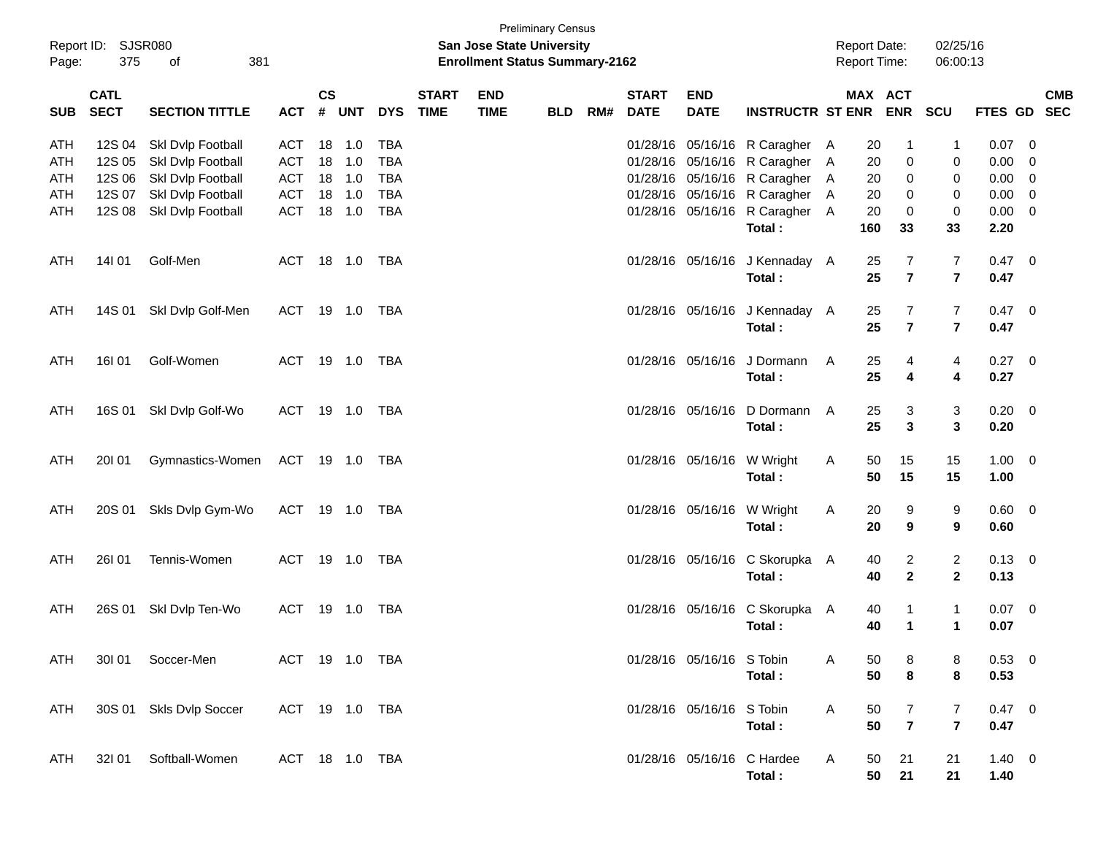| Report ID:<br>Page: | 375                        | SJSR080<br>381<br>of                   |                          |                    |            |                          |                             | San Jose State University<br><b>Enrollment Status Summary-2162</b> | <b>Preliminary Census</b> |     |                             |                                        |                                          |          | <b>Report Date:</b><br><b>Report Time:</b>   | 02/25/16<br>06:00:13           |                     |                          |
|---------------------|----------------------------|----------------------------------------|--------------------------|--------------------|------------|--------------------------|-----------------------------|--------------------------------------------------------------------|---------------------------|-----|-----------------------------|----------------------------------------|------------------------------------------|----------|----------------------------------------------|--------------------------------|---------------------|--------------------------|
| <b>SUB</b>          | <b>CATL</b><br><b>SECT</b> | <b>SECTION TITTLE</b>                  | <b>ACT</b>               | $\mathsf{cs}$<br># | <b>UNT</b> | <b>DYS</b>               | <b>START</b><br><b>TIME</b> | <b>END</b><br><b>TIME</b>                                          | <b>BLD</b>                | RM# | <b>START</b><br><b>DATE</b> | <b>END</b><br><b>DATE</b>              | <b>INSTRUCTR ST ENR</b>                  |          | MAX ACT<br><b>ENR</b>                        | <b>SCU</b>                     | <b>FTES GD</b>      | <b>CMB</b><br><b>SEC</b> |
| <b>ATH</b><br>ATH   | 12S 04<br>12S 05           | Skl Dvlp Football<br>Skl Dvlp Football | <b>ACT</b><br><b>ACT</b> | 18<br>18           | 1.0<br>1.0 | <b>TBA</b><br><b>TBA</b> |                             |                                                                    |                           |     | 01/28/16                    | 01/28/16 05/16/16                      | 05/16/16 R Caragher A<br>R Caragher      | - A      | 20<br>1<br>0<br>20                           | 1<br>0                         | 0.07<br>0.00        | - 0<br>0                 |
| ATH<br><b>ATH</b>   | 12S 06<br>12S 07           | Skl Dvlp Football<br>Skl Dvlp Football | <b>ACT</b><br><b>ACT</b> | 18<br>18           | 1.0<br>1.0 | <b>TBA</b><br><b>TBA</b> |                             |                                                                    |                           |     |                             | 01/28/16 05/16/16<br>01/28/16 05/16/16 | R Caragher<br>R Caragher                 | - A<br>A | 0<br>20<br>20<br>0                           | 0<br>0                         | 0.00<br>0.00        | 0<br>$\overline{0}$      |
| ATH                 | 12S 08                     | Skl Dvlp Football                      | <b>ACT</b>               |                    | 18 1.0     | <b>TBA</b>               |                             |                                                                    |                           |     |                             |                                        | 01/28/16 05/16/16 R Caragher A<br>Total: | 160      | 20<br>0<br>33                                | 0<br>33                        | 0.00<br>2.20        | $\overline{\mathbf{0}}$  |
| ATH                 | 14101                      | Golf-Men                               | ACT                      |                    | 18 1.0     | TBA                      |                             |                                                                    |                           |     |                             |                                        | 01/28/16 05/16/16 J Kennaday A<br>Total: |          | 7<br>25<br>$\overline{7}$<br>25              | 7<br>$\overline{\mathbf{r}}$   | 0.47<br>0.47        | $\overline{\phantom{0}}$ |
| ATH                 | 14S 01                     | Skl Dvlp Golf-Men                      | ACT                      |                    | 19 1.0     | TBA                      |                             |                                                                    |                           |     |                             |                                        | 01/28/16 05/16/16 J Kennaday A<br>Total: |          | 25<br>7<br>$\overline{7}$<br>25              | 7<br>$\overline{7}$            | 0.47<br>0.47        | $\overline{\phantom{0}}$ |
| ATH                 | 16I 01                     | Golf-Women                             | ACT                      |                    | 19 1.0     | TBA                      |                             |                                                                    |                           |     |                             |                                        | 01/28/16 05/16/16 J Dormann<br>Total:    | A        | 25<br>4<br>25<br>$\overline{\mathbf{4}}$     | 4<br>4                         | 0.27<br>0.27        | $\overline{\phantom{0}}$ |
| ATH                 | 16S 01                     | Skl Dvlp Golf-Wo                       | ACT                      |                    |            | TBA                      |                             |                                                                    |                           |     |                             | 01/28/16 05/16/16                      | D Dormann<br>Total:                      | A        | 25<br>3<br>$\mathbf{3}$<br>25                | 3<br>$\mathbf{3}$              | 0.20<br>0.20        | $\overline{\phantom{0}}$ |
| ATH                 | 20101                      | Gymnastics-Women                       | ACT 19 1.0               |                    |            | TBA                      |                             |                                                                    |                           |     |                             | 01/28/16 05/16/16                      | W Wright<br>Total:                       | A        | 15<br>50<br>50<br>15                         | 15<br>15                       | $1.00 \t 0$<br>1.00 |                          |
| ATH                 | 20S 01                     | Skls Dvlp Gym-Wo                       | <b>ACT</b>               |                    | 19  1.0    | TBA                      |                             |                                                                    |                           |     |                             | 01/28/16 05/16/16                      | W Wright<br>Total:                       | A        | 20<br>9<br>9<br>20                           | 9<br>9                         | 0.60 0<br>0.60      |                          |
| ATH                 | 26I 01                     | Tennis-Women                           | ACT                      |                    |            | TBA                      |                             |                                                                    |                           |     |                             | 01/28/16 05/16/16                      | C Skorupka<br>Total:                     | A        | 40<br>$\overline{2}$<br>$\mathbf{2}$<br>40   | $\overline{c}$<br>$\mathbf{2}$ | $0.13 \ 0$<br>0.13  |                          |
| ATH                 | 26S 01                     | Skl Dvlp Ten-Wo                        | <b>ACT</b>               |                    | 19  1.0    | TBA                      |                             |                                                                    |                           |     |                             | 01/28/16 05/16/16                      | C Skorupka A<br>Total:                   |          | 40<br>1<br>40<br>$\blacktriangleleft$        | 1<br>$\mathbf 1$               | $0.07$ 0<br>0.07    |                          |
| ATH                 |                            | 301 01 Soccer-Men                      | ACT 19 1.0 TBA           |                    |            |                          |                             |                                                                    |                           |     |                             | 01/28/16 05/16/16 S Tobin              | Total:                                   | A        | 50<br>8<br>$\bf8$<br>50                      | 8<br>8                         | $0.53$ 0<br>0.53    |                          |
| ATH                 |                            | 30S 01 Skls Dvlp Soccer                | ACT 19 1.0 TBA           |                    |            |                          |                             |                                                                    |                           |     |                             | 01/28/16 05/16/16 S Tobin              | Total:                                   | A        | 50<br>$\overline{7}$<br>$\overline{7}$<br>50 | 7<br>$\overline{7}$            | $0.47 \ 0$<br>0.47  |                          |
| ATH                 |                            | 32I 01 Softball-Women                  | ACT 18 1.0 TBA           |                    |            |                          |                             |                                                                    |                           |     |                             |                                        | 01/28/16 05/16/16 C Hardee<br>Total:     | A        | 21<br>50<br>50<br>21                         | 21<br>21                       | $1.40 \ 0$<br>1.40  |                          |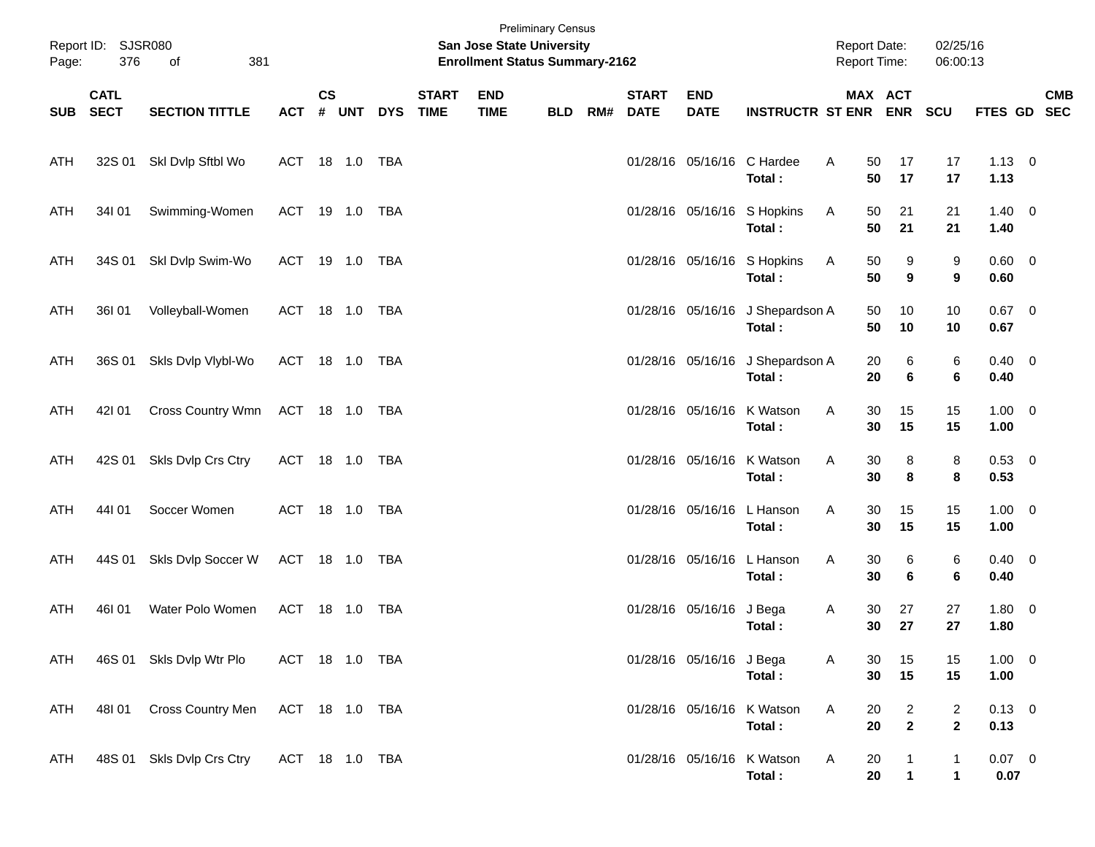| Page:      | Report ID: SJSR080<br>376  | of<br>381                 |                |               |       |            |                             | <b>Preliminary Census</b><br>San Jose State University<br><b>Enrollment Status Summary-2162</b> |            |     |                             |                           |                                       | <b>Report Date:</b><br>Report Time: |                                | 02/25/16<br>06:00:13               |                        |            |
|------------|----------------------------|---------------------------|----------------|---------------|-------|------------|-----------------------------|-------------------------------------------------------------------------------------------------|------------|-----|-----------------------------|---------------------------|---------------------------------------|-------------------------------------|--------------------------------|------------------------------------|------------------------|------------|
| SUB        | <b>CATL</b><br><b>SECT</b> | <b>SECTION TITTLE</b>     | <b>ACT</b>     | $\mathsf{cs}$ | # UNT | <b>DYS</b> | <b>START</b><br><b>TIME</b> | <b>END</b><br><b>TIME</b>                                                                       | <b>BLD</b> | RM# | <b>START</b><br><b>DATE</b> | <b>END</b><br><b>DATE</b> | <b>INSTRUCTR ST ENR ENR</b>           |                                     | MAX ACT                        | SCU                                | FTES GD SEC            | <b>CMB</b> |
| ATH        |                            | 32S 01 SkI Dvlp Sftbl Wo  | ACT 18 1.0 TBA |               |       |            |                             |                                                                                                 |            |     |                             |                           | 01/28/16 05/16/16 C Hardee<br>Total:  | A<br>50<br>50                       | 17<br>17                       | 17<br>17                           | $1.13 \ 0$<br>1.13     |            |
| ATH        | 34101                      | Swimming-Women            | ACT 19 1.0 TBA |               |       |            |                             |                                                                                                 |            |     |                             |                           | 01/28/16 05/16/16 S Hopkins<br>Total: | 50<br>A<br>50                       | 21<br>21                       | 21<br>21                           | $1.40 \ 0$<br>1.40     |            |
| ATH        | 34S 01                     | Skl Dvlp Swim-Wo          | ACT 19 1.0 TBA |               |       |            |                             |                                                                                                 |            |     |                             |                           | 01/28/16 05/16/16 S Hopkins<br>Total: | A<br>50<br>50                       | 9<br>9                         | 9<br>9                             | $0.60 \quad 0$<br>0.60 |            |
| ATH        | 36I 01                     | Volleyball-Women          | ACT 18 1.0 TBA |               |       |            |                             |                                                                                                 |            |     |                             | 01/28/16 05/16/16         | J Shepardson A<br>Total:              | 50<br>50                            | 10<br>10                       | 10<br>10                           | $0.67$ 0<br>0.67       |            |
| ATH        | 36S 01                     | Skls Dvlp Vlybl-Wo        | ACT 18 1.0 TBA |               |       |            |                             |                                                                                                 |            |     |                             | 01/28/16 05/16/16         | J Shepardson A<br>Total:              | 20<br>20                            | 6<br>6                         | 6<br>6                             | $0.40 \quad 0$<br>0.40 |            |
| ATH        | 42101                      | Cross Country Wmn         | ACT 18 1.0 TBA |               |       |            |                             |                                                                                                 |            |     |                             | 01/28/16 05/16/16         | K Watson<br>Total:                    | A<br>30<br>30                       | 15<br>15                       | 15<br>15                           | $1.00 \t 0$<br>1.00    |            |
| ATH        | 42S 01                     | Skls Dvlp Crs Ctry        | ACT 18 1.0 TBA |               |       |            |                             |                                                                                                 |            |     |                             |                           | 01/28/16 05/16/16 K Watson<br>Total:  | Α<br>30<br>30                       | 8<br>8                         | 8<br>8                             | 0.53 0<br>0.53         |            |
| ATH        | 44101                      | Soccer Women              | ACT 18 1.0 TBA |               |       |            |                             |                                                                                                 |            |     |                             |                           | 01/28/16 05/16/16 L Hanson<br>Total:  | A<br>30<br>30                       | 15<br>15                       | 15<br>15                           | $1.00 \t 0$<br>1.00    |            |
| ATH        | 44S 01                     | Skls Dvlp Soccer W        | ACT 18 1.0 TBA |               |       |            |                             |                                                                                                 |            |     |                             | 01/28/16 05/16/16         | L Hanson<br>Total:                    | Α<br>30<br>30                       | 6<br>6                         | 6<br>6                             | $0.40 \quad 0$<br>0.40 |            |
| ATH        | 46I 01                     | Water Polo Women          | ACT            |               |       | TBA        |                             |                                                                                                 |            |     |                             | 01/28/16 05/16/16         | J Bega<br>Total:                      | A<br>30<br>30                       | 27<br>27                       | 27<br>27                           | 1.80 0<br>1.80         |            |
| ATH        |                            | 46S 01 Skls Dvlp Wtr Plo  | ACT 18 1.0 TBA |               |       |            |                             |                                                                                                 |            |     |                             | 01/28/16 05/16/16 J Bega  | Total:                                | A<br>30<br>30                       | 15<br>15                       | 15<br>15                           | $1.00 \t 0$<br>1.00    |            |
| <b>ATH</b> | 48101                      | Cross Country Men         | ACT 18 1.0 TBA |               |       |            |                             |                                                                                                 |            |     |                             |                           | 01/28/16 05/16/16 K Watson<br>Total:  | Α<br>20<br>20                       | $\overline{c}$<br>$\mathbf{2}$ | $\overline{2}$<br>$\boldsymbol{2}$ | $0.13 \ 0$<br>0.13     |            |
| ATH        |                            | 48S 01 Skls Dvlp Crs Ctry | ACT 18 1.0 TBA |               |       |            |                             |                                                                                                 |            |     |                             |                           | 01/28/16 05/16/16 K Watson<br>Total:  | A<br>20<br>20                       | $\mathbf 1$                    | $\mathbf{1}$<br>$\mathbf 1$        | $0.07$ 0<br>0.07       |            |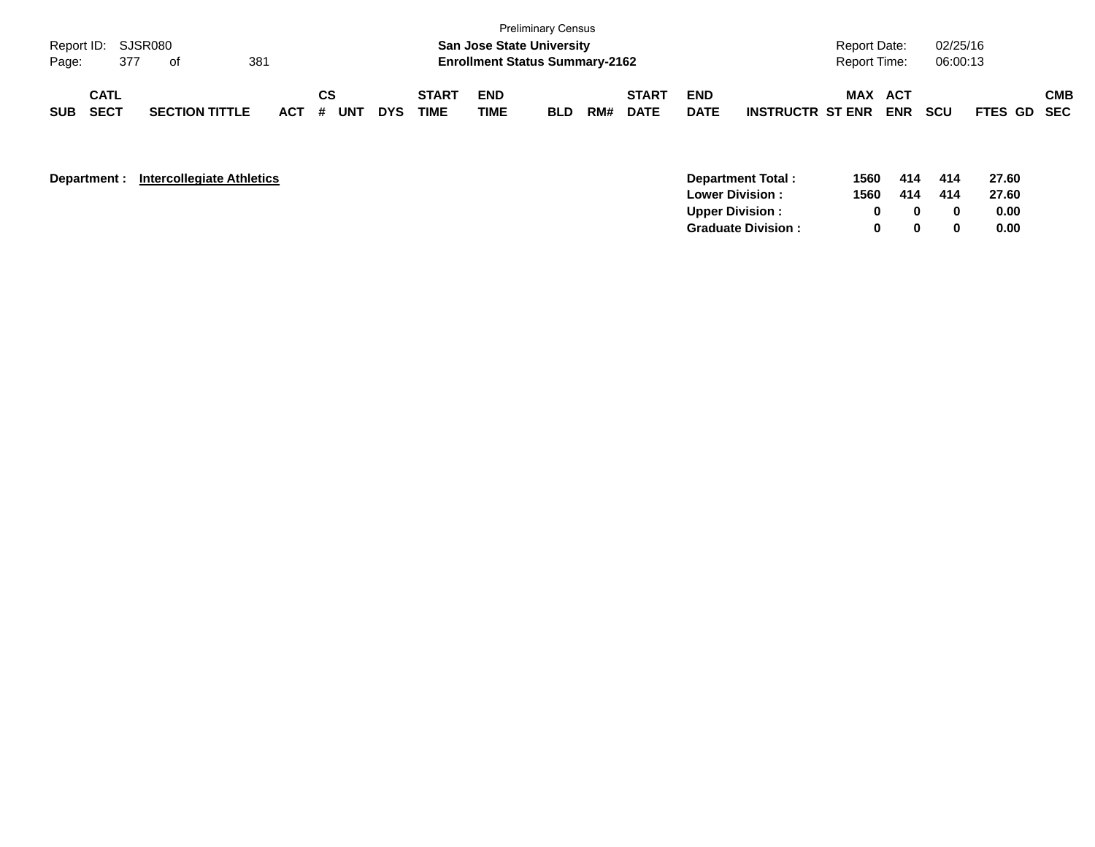| Page:      | Report ID: SJSR080<br>377  | ot                    |       |           |            | <b>San Jose State University</b><br><b>Enrollment Status Summary-2162</b> | <b>Preliminary Census</b> |            |     |                             |                           | <b>Report Date:</b><br><b>Report Time:</b> |     | 02/25/16<br>06:00:13 |            |             |            |
|------------|----------------------------|-----------------------|-------|-----------|------------|---------------------------------------------------------------------------|---------------------------|------------|-----|-----------------------------|---------------------------|--------------------------------------------|-----|----------------------|------------|-------------|------------|
| <b>SUB</b> | <b>CATL</b><br><b>SECT</b> | <b>SECTION TITTLE</b> | ACT # | CS<br>UNT | <b>DYS</b> | <b>START</b><br><b>TIME</b>                                               | <b>END</b><br><b>TIME</b> | <b>BLD</b> | RM# | <b>START</b><br><b>DATE</b> | <b>END</b><br><b>DATE</b> | <b>INSTRUCTR ST ENR</b>                    | MAX | ACT<br><b>ENR</b>    | <b>SCU</b> | FTES GD SEC | <b>CMB</b> |

| Department: | Intercollegiate Athletics |  |
|-------------|---------------------------|--|
|-------------|---------------------------|--|

| <b>Department:</b> | <b>Intercollegiate Athletics</b> | Department Total:          | 1560 | 414 | 414 | 27.60 |
|--------------------|----------------------------------|----------------------------|------|-----|-----|-------|
|                    |                                  | <b>Lower Division:</b>     | 1560 | 414 | 414 | 27.60 |
|                    |                                  | Upper Division:            |      |     |     | 0.00  |
|                    |                                  | <b>Graduate Division :</b> |      |     |     | 0.00  |
|                    |                                  |                            |      |     |     |       |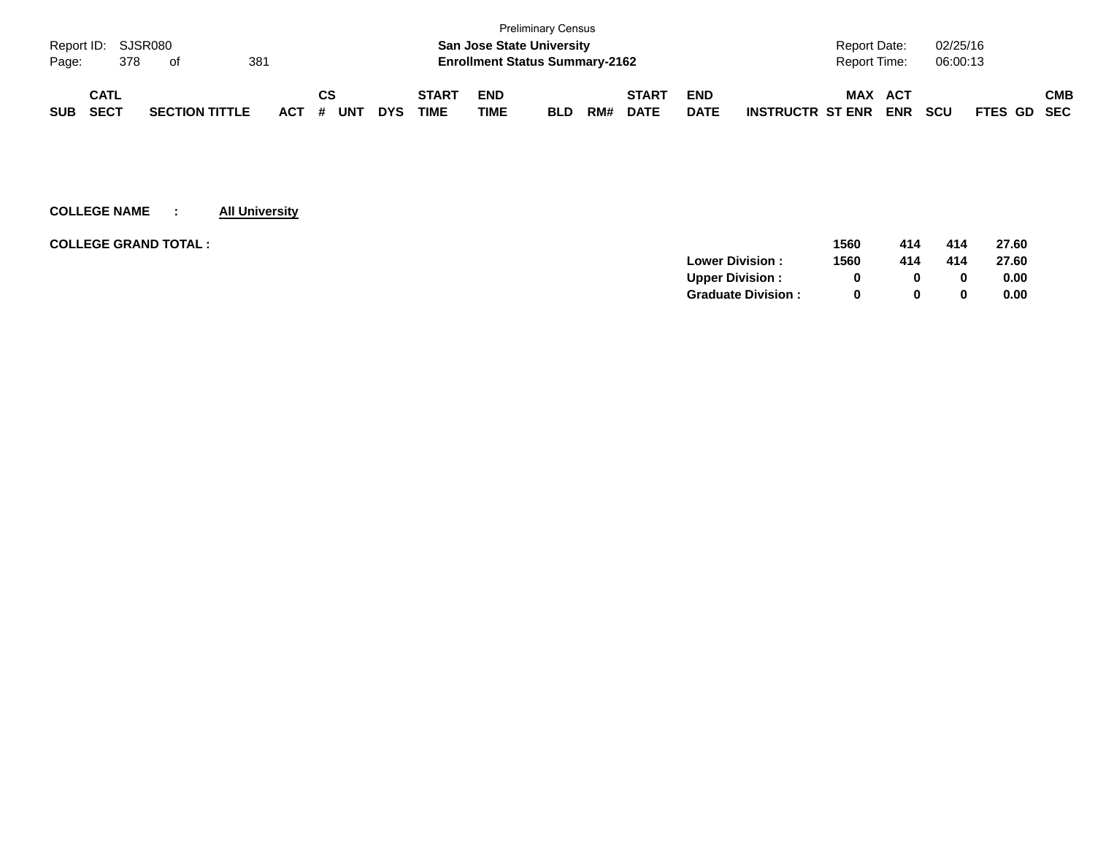|                    |             |     |                       |     |            |    |     |            |              |                                       | <b>Preliminary Census</b> |     |              |             |                                                     |             |     |
|--------------------|-------------|-----|-----------------------|-----|------------|----|-----|------------|--------------|---------------------------------------|---------------------------|-----|--------------|-------------|-----------------------------------------------------|-------------|-----|
| Report ID: SJSR080 |             |     |                       |     |            |    |     |            |              | <b>San Jose State University</b>      |                           |     |              |             | 02/25/16<br><b>Report Date:</b>                     |             |     |
| Page:              |             | 378 | of                    | 381 |            |    |     |            |              | <b>Enrollment Status Summary-2162</b> |                           |     |              |             | 06:00:13<br><b>Report Time:</b>                     |             |     |
|                    | <b>CATL</b> |     |                       |     |            | СS |     |            | <b>START</b> | <b>END</b>                            |                           |     | <b>START</b> | <b>END</b>  | MAX<br>ACT                                          |             | СМВ |
| <b>SUB</b>         | <b>SECT</b> |     | <b>SECTION TITTLE</b> |     | <b>ACT</b> | #  | UNT | <b>DYS</b> | TIME         | TIME                                  | <b>BLD</b>                | RM# | <b>DATE</b>  | <b>DATE</b> | <b>ENR</b><br><b>SCU</b><br><b>INSTRUCTR ST ENR</b> | FTES GD SEC |     |

| <b>COLLEGE GRAND TOTAL:</b> | 1560 | 414          | 414 | 27.60 |
|-----------------------------|------|--------------|-----|-------|
| <b>Lower Division:</b>      | 1560 | 414          | 414 | 27.60 |
| <b>Upper Division:</b>      |      | 0            | 0   | 0.00  |
| <b>Graduate Division:</b>   |      | <sup>0</sup> | 0   | 0.00  |
|                             |      |              |     |       |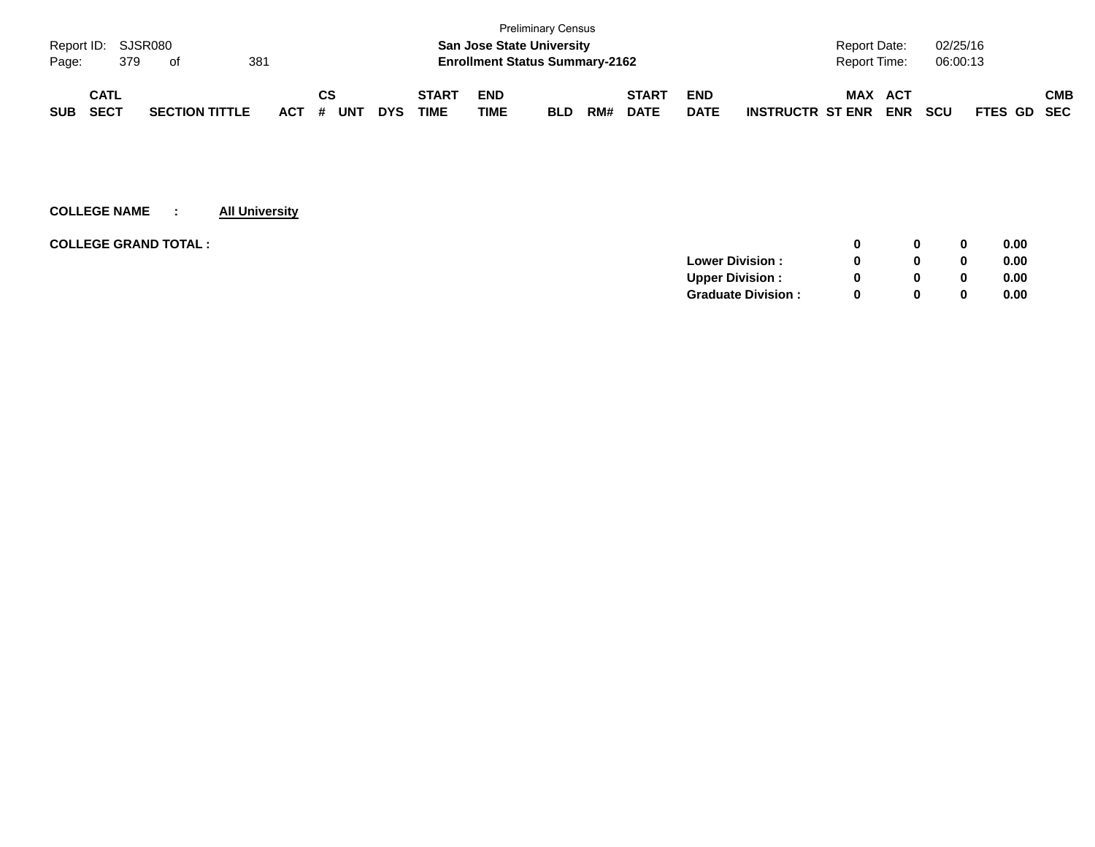|                    |             |     |                       |     |     |    |            |            |              |                                       | <b>Preliminary Census</b> |     |              |             |                         |                     |            |            |             |     |
|--------------------|-------------|-----|-----------------------|-----|-----|----|------------|------------|--------------|---------------------------------------|---------------------------|-----|--------------|-------------|-------------------------|---------------------|------------|------------|-------------|-----|
| Report ID: SJSR080 |             |     |                       |     |     |    |            |            |              | <b>San Jose State University</b>      |                           |     |              |             |                         | <b>Report Date:</b> |            | 02/25/16   |             |     |
| Page:              |             | 379 | of                    | 381 |     |    |            |            |              | <b>Enrollment Status Summary-2162</b> |                           |     |              |             |                         | <b>Report Time:</b> |            | 06:00:13   |             |     |
|                    | <b>CATL</b> |     |                       |     |     | СS |            |            | <b>START</b> | <b>END</b>                            |                           |     | <b>START</b> | <b>END</b>  |                         | MAX                 | ACT        |            |             | СМВ |
| <b>SUB</b>         | <b>SECT</b> |     | <b>SECTION TITTLE</b> |     | ACT | #  | <b>UNT</b> | <b>DYS</b> | TIME         | TIME                                  | <b>BLD</b>                | RM# | <b>DATE</b>  | <b>DATE</b> | <b>INSTRUCTR ST ENR</b> |                     | <b>ENR</b> | <b>SCU</b> | FTES GD SEC |     |

| <b>COLLEGE GRAND TOTAL :</b> |                           | 0            | 0            | 0.00 |
|------------------------------|---------------------------|--------------|--------------|------|
|                              | <b>Lower Division:</b>    | 0            | 0            | 0.00 |
|                              | <b>Upper Division:</b>    | 0            | 0            | 0.00 |
|                              | <b>Graduate Division:</b> | <sup>0</sup> | $\mathbf{0}$ | 0.00 |
|                              |                           |              |              |      |